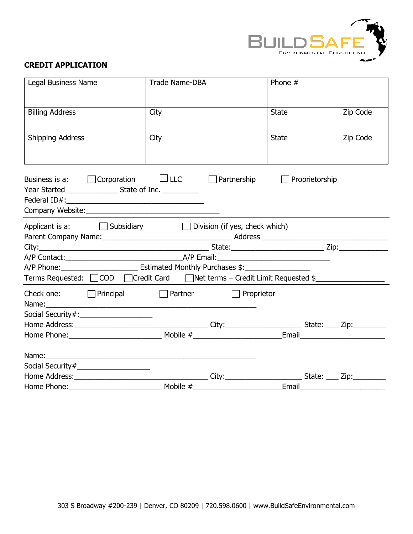

## **CREDIT APPLICATION**

| Legal Business Name                                                                                  | Trade Name-DBA |                    | Phone #      |                |          |
|------------------------------------------------------------------------------------------------------|----------------|--------------------|--------------|----------------|----------|
| <b>Billing Address</b>                                                                               | City           |                    | <b>State</b> |                | Zip Code |
| Shipping Address                                                                                     | City           |                    | <b>State</b> |                | Zip Code |
| Business is a: $\Box$ Corporation $\Box$ LLC                                                         |                | $\Box$ Partnership | $\mathbf{I}$ | Proprietorship |          |
| Applicant is a: $\Box$ Subsidiary $\Box$ Division (if yes, check which)                              |                |                    |              |                |          |
|                                                                                                      |                |                    |              |                |          |
|                                                                                                      |                |                    |              |                |          |
| A/P Phone: _________________________________ Estimated Monthly Purchases \$: _______________________ |                |                    |              |                |          |
| Terms Requested: □ COD □ Credit Card □ Net terms – Credit Limit Requested \$                         |                |                    |              |                |          |
|                                                                                                      |                | $\Box$ Proprietor  |              |                |          |
|                                                                                                      |                |                    |              |                |          |
|                                                                                                      |                |                    |              |                |          |
|                                                                                                      |                |                    |              |                |          |
|                                                                                                      |                |                    |              |                |          |
| Social Security#_____________________                                                                |                |                    |              |                |          |
|                                                                                                      |                |                    |              |                |          |
|                                                                                                      |                |                    |              |                |          |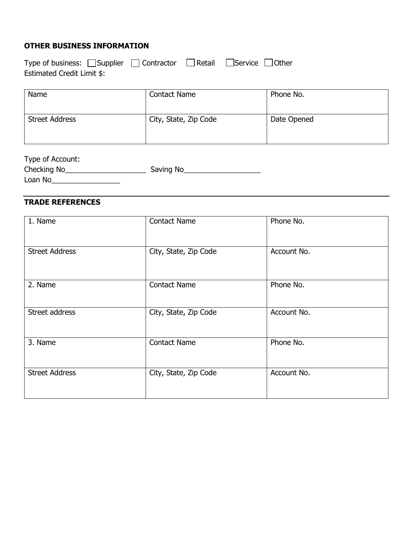## **OTHER BUSINESS INFORMATION**

| Type of business: $\Box$ Supplier $\Box$ Contractor $\Box$ Retail $\Box$ Service $\Box$ Other |  |  |
|-----------------------------------------------------------------------------------------------|--|--|
| Estimated Credit Limit \$:                                                                    |  |  |

| Name                  | <b>Contact Name</b>   | Phone No.   |
|-----------------------|-----------------------|-------------|
| <b>Street Address</b> | City, State, Zip Code | Date Opened |

| Type of Account: |           |
|------------------|-----------|
| Checking No      | Saving No |
| Loan No          |           |

## **TRADE REFERENCES**

| 1. Name               | <b>Contact Name</b>   | Phone No.   |
|-----------------------|-----------------------|-------------|
| <b>Street Address</b> | City, State, Zip Code | Account No. |
| 2. Name               | <b>Contact Name</b>   | Phone No.   |
| Street address        | City, State, Zip Code | Account No. |
| 3. Name               | <b>Contact Name</b>   | Phone No.   |
| <b>Street Address</b> | City, State, Zip Code | Account No. |